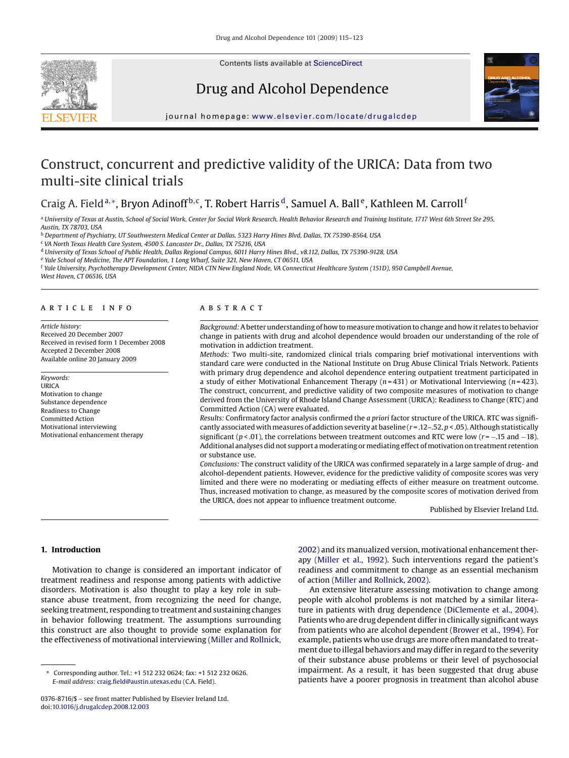

Contents lists available at [ScienceDirect](http://www.sciencedirect.com/science/journal/03768716)

# Drug and Alcohol Dependence



journal homepage: [www.elsevier.com/locate/drugalcdep](http://www.elsevier.com/locate/drugalcdep)

# Construct, concurrent and predictive validity of the URICA: Data from two multi-site clinical trials

## Craig A. Field<sup>a,∗</sup>, Bryon Adinoff<sup>b,c</sup>, T. Robert Harris<sup>d</sup>, Samuel A. Ball<sup>e</sup>, Kathleen M. Carroll<sup>f</sup>

<sup>a</sup> *University of Texas at Austin, School of Social Work, Center for Social Work Research, Health Behavior Research and Training Institute, 1717 West 6th Street Ste 295, Austin, TX 78703, USA*

<sup>b</sup> *Department of Psychiatry, UT Southwestern Medical Center at Dallas, 5323 Harry Hines Blvd, Dallas, TX 75390-8564, USA*

<sup>c</sup> *VA North Texas Health Care System, 4500 S. Lancaster Dr., Dallas, TX 75216, USA*

<sup>d</sup> *University of Texas School of Public Health, Dallas Regional Campus, 6011 Harry Hines Blvd., v8.112, Dallas, TX 75390-9128, USA*

<sup>e</sup> *Yale School of Medicine, The APT Foundation, 1 Long Wharf, Suite 321, New Haven, CT 06511, USA*

<sup>f</sup> *Yale University, Psychotherapy Development Center, NIDA CTN New England Node, VA Connecticut Healthcare System (151D), 950 Campbell Avenue,*

*West Haven, CT 06516, USA*

#### article info

*Article history:* Received 20 December 2007 Received in revised form 1 December 2008 Accepted 2 December 2008 Available online 20 January 2009

#### *Keywords:*

URICA Motivation to change Substance dependence Readiness to Change Committed Action Motivational interviewing Motivational enhancement therapy

## ABSTRACT

*Background:*A better understanding of how tomeasuremotivation to change and how it relates to behavior change in patients with drug and alcohol dependence would broaden our understanding of the role of motivation in addiction treatment.

*Methods:* Two multi-site, randomized clinical trials comparing brief motivational interventions with standard care were conducted in the National Institute on Drug Abuse Clinical Trials Network. Patients with primary drug dependence and alcohol dependence entering outpatient treatment participated in a study of either Motivational Enhancement Therapy (*n* = 431) or Motivational Interviewing (*n* = 423). The construct, concurrent, and predictive validity of two composite measures of motivation to change derived from the University of Rhode Island Change Assessment (URICA): Readiness to Change (RTC) and Committed Action (CA) were evaluated.

*Results:* Confirmatory factor analysis confirmed the *a priori* factor structure of the URICA. RTC was significantly associated withmeasures of addiction severity at baseline (*r* = .12–.52, *p* < .05). Although statistically significant (*p* < .01), the correlations between treatment outcomes and RTC were low (*r* = −.15 and −18). Additional analyses did not support a moderating or mediating effect of motivation on treatment retention or substance use.

*Conclusions:* The construct validity of the URICA was confirmed separately in a large sample of drug- and alcohol-dependent patients. However, evidence for the predictive validity of composite scores was very limited and there were no moderating or mediating effects of either measure on treatment outcome. Thus, increased motivation to change, as measured by the composite scores of motivation derived from the URICA, does not appear to influence treatment outcome.

Published by Elsevier Ireland Ltd.

#### **1. Introduction**

Motivation to change is considered an important indicator of treatment readiness and response among patients with addictive disorders. Motivation is also thought to play a key role in substance abuse treatment, from recognizing the need for change, seeking treatment, responding to treatment and sustaining changes in behavior following treatment. The assumptions surrounding this construct are also thought to provide some explanation for the effectiveness of motivational interviewing ([Miller and Rollnick,](#page-8-0)

[2002\) a](#page-8-0)nd its manualized version, motivational enhancement therapy [\(Miller et al., 1992\).](#page-8-0) Such interventions regard the patient's readiness and commitment to change as an essential mechanism of action [\(Miller and Rollnick, 2002\).](#page-8-0)

An extensive literature assessing motivation to change among people with alcohol problems is not matched by a similar literature in patients with drug dependence [\(DiClemente et al., 2004\).](#page-8-0) Patients who are drug dependent differ in clinically significant ways from patients who are alcohol dependent [\(Brower et al., 1994\).](#page-8-0) For example, patients who use drugs are more often mandated to treatment due to illegal behaviors and may differ in regard to the severity of their substance abuse problems or their level of psychosocial impairment. As a result, it has been suggested that drug abuse patients have a poorer prognosis in treatment than alcohol abuse

<sup>∗</sup> Corresponding author. Tel.: +1 512 232 0624; fax: +1 512 232 0626. *E-mail address:* [craig.field@austin.utexas.edu](mailto:craig.field@austin.utexas.edu) (C.A. Field).

<sup>0376-8716/\$ –</sup> see front matter Published by Elsevier Ireland Ltd. doi:[10.1016/j.drugalcdep.2008.12.003](dx.doi.org/10.1016/j.drugalcdep.2008.12.003)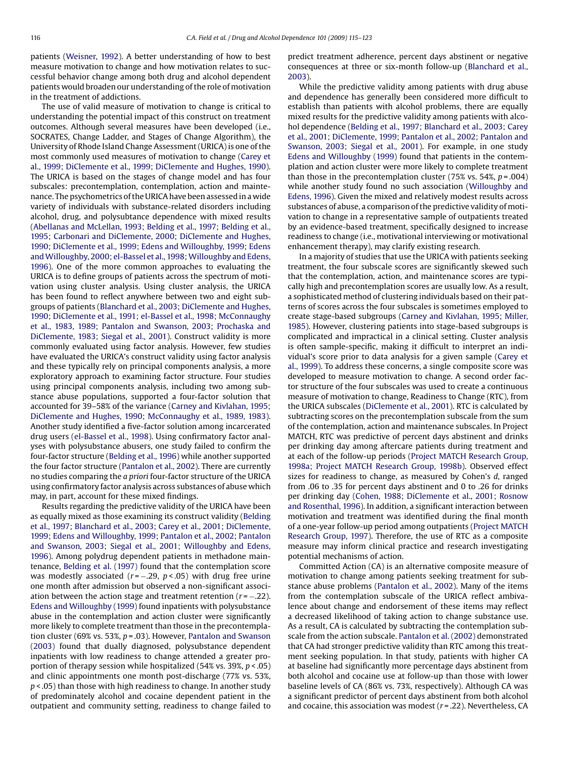patients [\(Weisner, 1992\).](#page-8-0) A better understanding of how to best measure motivation to change and how motivation relates to successful behavior change among both drug and alcohol dependent patients would broaden our understanding of the role of motivation in the treatment of addictions.

The use of valid measure of motivation to change is critical to understanding the potential impact of this construct on treatment outcomes. Although several measures have been developed (i.e., SOCRATES, Change Ladder, and Stages of Change Algorithm), the University of Rhode Island Change Assessment (URICA) is one of the most commonly used measures of motivation to change [\(Carey et](#page-8-0) [al., 1999; DiClemente et al., 1999; DiClemente and Hughes, 1990\).](#page-8-0) The URICA is based on the stages of change model and has four subscales: precontemplation, contemplation, action and maintenance. The psychometrics of the URICA have been assessed in a wide variety of individuals with substance-related disorders including alcohol, drug, and polysubtance dependence with mixed results ([Abellanas and McLellan, 1993; Belding et al., 1997; Belding et al.,](#page-7-0) [1995; Carbonari and DiClemente, 2000; DiClemente and Hughes,](#page-7-0) [1990; DiClemente et al., 1999; Edens and Willoughby, 1999; Edens](#page-7-0) and Willoughby, 2000; el-Bassel et al., 1998; Willoughby and Edens, [1996\).](#page-7-0) One of the more common approaches to evaluating the URICA is to define groups of patients across the spectrum of motivation using cluster analysis. Using cluster analysis, the URICA has been found to reflect anywhere between two and eight subgroups of patients ([Blanchard et al., 2003; DiClemente and Hughes,](#page-7-0) [1990; DiClemente et al., 1991; el-Bassel et al., 1998; McConnaughy](#page-7-0) [et al., 1983, 1989; Pantalon and Swanson, 2003; Prochaska and](#page-7-0) [DiClemente, 1983; Siegal et al., 2001\).](#page-7-0) Construct validity is more commonly evaluated using factor analysis. However, few studies have evaluated the URICA's construct validity using factor analysis and these typically rely on principal components analysis, a more exploratory approach to examining factor structure. Four studies using principal components analysis, including two among substance abuse populations, supported a four-factor solution that accounted for 39–58% of the variance [\(Carney and Kivlahan, 1995;](#page-8-0) [DiClemente and Hughes, 1990; McConnaughy et al., 1989, 1983\).](#page-8-0) Another study identified a five-factor solution among incarcerated drug users ([el-Bassel et al., 1998\).](#page-8-0) Using confirmatory factor analyses with polysubstance abusers, one study failed to confirm the four-factor structure [\(Belding et al., 1996\) w](#page-7-0)hile another supported the four factor structure ([Pantalon et al., 2002\).](#page-8-0) There are currently no studies comparing the *a priori* four-factor structure of the URICA using confirmatory factor analysis across substances of abuse which may, in part, account for these mixed findings.

Results regarding the predictive validity of the URICA have been as equally mixed as those examining its construct validity ([Belding](#page-7-0) [et al., 1997; Blanchard et al., 2003; Carey et al., 2001; DiClemente,](#page-7-0) [1999; Edens and Willoughby, 1999; Pantalon et al., 2002; Pantalon](#page-7-0) [and Swanson, 2003; Siegal et al., 2001; Willoughby and Edens,](#page-7-0) [1996\).](#page-7-0) Among polydrug dependent patients in methadone maintenance, [Belding et al. \(1997\)](#page-7-0) found that the contemplation score was modestly associated (*r* = −.29, *p* <.05) with drug free urine one month after admission but observed a non-significant association between the action stage and treatment retention (*r* = −.22). [Edens and Willoughby \(1999\)](#page-8-0) found inpatients with polysubstance abuse in the contemplation and action cluster were significantly more likely to complete treatment than those in the precontemplation cluster (69% vs. 53%, *p* = .03). However, [Pantalon and Swanson](#page-8-0) [\(2003\)](#page-8-0) found that dually diagnosed, polysubstance dependent inpatients with low readiness to change attended a greater proportion of therapy session while hospitalized (54% vs. 39%, *p* < .05) and clinic appointments one month post-discharge (77% vs. 53%, *p* < .05) than those with high readiness to change. In another study of predominately alcohol and cocaine dependent patient in the outpatient and community setting, readiness to change failed to

predict treatment adherence, percent days abstinent or negative consequences at three or six-month follow-up [\(Blanchard et al.,](#page-7-0) [2003\).](#page-7-0)

While the predictive validity among patients with drug abuse and dependence has generally been considered more difficult to establish than patients with alcohol problems, there are equally mixed results for the predictive validity among patients with alcohol dependence [\(Belding et al., 1997; Blanchard et al., 2003; Carey](#page-7-0) [et al., 2001; DiClemente, 1999; Pantalon et al., 2002; Pantalon and](#page-7-0) [Swanson, 2003; Siegal et al., 2001\).](#page-7-0) For example, in one study [Edens and Willoughby \(1999\)](#page-8-0) found that patients in the contemplation and action cluster were more likely to complete treatment than those in the precontemplation cluster (75% vs. 54%, *p* = .004) while another study found no such association [\(Willoughby and](#page-8-0) [Edens, 1996\).](#page-8-0) Given the mixed and relatively modest results across substances of abuse, a comparison of the predictive validity of motivation to change in a representative sample of outpatients treated by an evidence-based treatment, specifically designed to increase readiness to change (i.e., motivational interviewing or motivational enhancement therapy), may clarify existing research.

In a majority of studies that use the URICA with patients seeking treatment, the four subscale scores are significantly skewed such that the contemplation, action, and maintenance scores are typically high and precontemplation scores are usually low. As a result, a sophisticated method of clustering individuals based on their patterns of scores across the four subscales is sometimes employed to create stage-based subgroups ([Carney and Kivlahan, 1995; Miller,](#page-8-0) [1985\).](#page-8-0) However, clustering patients into stage-based subgroups is complicated and impractical in a clinical setting. Cluster analysis is often sample-specific, making it difficult to interpret an individual's score prior to data analysis for a given sample [\(Carey et](#page-8-0) [al., 1999\).](#page-8-0) To address these concerns, a single composite score was developed to measure motivation to change. A second order factor structure of the four subscales was used to create a continuous measure of motivation to change, Readiness to Change (RTC), from the URICA subscales ([DiClemente et al., 2001\).](#page-8-0) RTC is calculated by subtracting scores on the precontemplation subscale from the sum of the contemplation, action and maintenance subscales. In Project MATCH, RTC was predictive of percent days abstinent and drinks per drinking day among aftercare patients during treatment and at each of the follow-up periods [\(Project MATCH Research Group,](#page-8-0) [1998a; Project MATCH Research Group, 1998b\).](#page-8-0) Observed effect sizes for readiness to change, as measured by Cohen's *d*, ranged from .06 to .35 for percent days abstinent and 0 to .26 for drinks per drinking day [\(Cohen, 1988; DiClemente et al., 2001; Rosnow](#page-8-0) [and Rosenthal, 1996\).](#page-8-0) In addition, a significant interaction between motivation and treatment was identified during the final month of a one-year follow-up period among outpatients ([Project MATCH](#page-8-0) [Research Group, 1997\).](#page-8-0) Therefore, the use of RTC as a composite measure may inform clinical practice and research investigating potential mechanisms of action.

Committed Action (CA) is an alternative composite measure of motivation to change among patients seeking treatment for substance abuse problems [\(Pantalon et al., 2002\).](#page-8-0) Many of the items from the contemplation subscale of the URICA reflect ambivalence about change and endorsement of these items may reflect a decreased likelihood of taking action to change substance use. As a result, CA is calculated by subtracting the contemplation subscale from the action subscale. [Pantalon et al. \(2002\)](#page-8-0) demonstrated that CA had stronger predictive validity than RTC among this treatment seeking population. In that study, patients with higher CA at baseline had significantly more percentage days abstinent from both alcohol and cocaine use at follow-up than those with lower baseline levels of CA (86% vs. 73%, respectively). Although CA was a significant predictor of percent days abstinent from both alcohol and cocaine, this association was modest (*r* = .22). Nevertheless, CA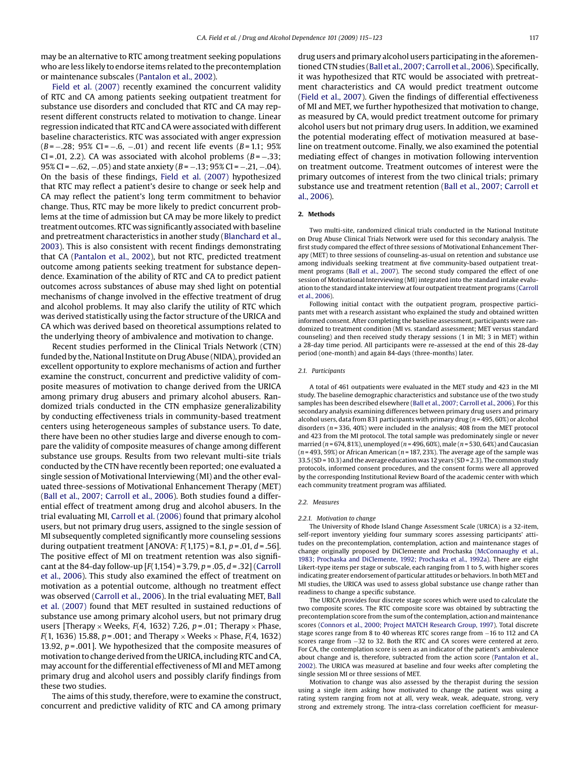may be an alternative to RTC among treatment seeking populations who are less likely to endorse items related to the precontemplation or maintenance subscales ([Pantalon et al., 2002\).](#page-8-0)

[Field et al. \(2007\)](#page-8-0) recently examined the concurrent validity of RTC and CA among patients seeking outpatient treatment for substance use disorders and concluded that RTC and CA may represent different constructs related to motivation to change. Linear regression indicated that RTC and CA were associated with different baseline characteristics. RTC was associated with anger expression (*B* = −.28; 95% CI = −.6, −.01) and recent life events (*B* = 1.1; 95% CI = .01, 2.2). CA was associated with alcohol problems (*B* = −.33; 95% CI = −.62, −.05) and state anxiety (*B* = −.13; 95% CI = −.21, −.04). On the basis of these findings, [Field et al. \(2007\)](#page-8-0) hypothesized that RTC may reflect a patient's desire to change or seek help and CA may reflect the patient's long term commitment to behavior change. Thus, RTC may be more likely to predict concurrent problems at the time of admission but CA may be more likely to predict treatment outcomes. RTC was significantly associated with baseline and pretreatment characteristics in another study ([Blanchard et al.,](#page-7-0) [2003\).](#page-7-0) This is also consistent with recent findings demonstrating that CA ([Pantalon et al., 2002\),](#page-8-0) but not RTC, predicted treatment outcome among patients seeking treatment for substance dependence. Examination of the ability of RTC and CA to predict patient outcomes across substances of abuse may shed light on potential mechanisms of change involved in the effective treatment of drug and alcohol problems. It may also clarify the utility of RTC which was derived statistically using the factor structure of the URICA and CA which was derived based on theoretical assumptions related to the underlying theory of ambivalence and motivation to change.

Recent studies performed in the Clinical Trials Network (CTN) funded by the, National Institute on Drug Abuse (NIDA), provided an excellent opportunity to explore mechanisms of action and further examine the construct, concurrent and predictive validity of composite measures of motivation to change derived from the URICA among primary drug abusers and primary alcohol abusers. Randomized trials conducted in the CTN emphasize generalizability by conducting effectiveness trials in community-based treatment centers using heterogeneous samples of substance users. To date, there have been no other studies large and diverse enough to compare the validity of composite measures of change among different substance use groups. Results from two relevant multi-site trials conducted by the CTN have recently been reported; one evaluated a single session of Motivational Interviewing (MI) and the other evaluated three-sessions of Motivational Enhancement Therapy (MET) ([Ball et al., 2007; Carroll et al., 2006\).](#page-7-0) Both studies found a differential effect of treatment among drug and alcohol abusers. In the trial evaluating MI, [Carroll et al. \(2006\)](#page-8-0) found that primary alcohol users, but not primary drug users, assigned to the single session of MI subsequently completed significantly more counseling sessions during outpatient treatment [ANOVA: *F*(1,175) = 8.1, *p* = .01, *d* = .56]. The positive effect of MI on treatment retention was also significant at the 84-day follow-up [*F*(1,154) = 3.79, *p* = .05, *d* = .32] ([Carroll](#page-8-0) [et al., 2006\).](#page-8-0) This study also examined the effect of treatment on motivation as a potential outcome, although no treatment effect was observed [\(Carroll et al., 2006\).](#page-8-0) In the trial evaluating MET, [Ball](#page-7-0) [et al. \(2007\)](#page-7-0) found that MET resulted in sustained reductions of substance use among primary alcohol users, but not primary drug users [Therapy  $\times$  Weeks,  $F(4, 1632)$  7.26,  $p = .01$ ; Therapy  $\times$  Phase, *F*(1, 1636) 15.88, *p* = .001; and Therapy  $\times$  Weeks  $\times$  Phase, *F*(4, 1632) 13.92, *p* = .001]. We hypothesized that the composite measures of motivation to change derived from the URICA, including RTC and CA, may account for the differential effectiveness of MI and MET among primary drug and alcohol users and possibly clarify findings from these two studies.

The aims of this study, therefore, were to examine the construct, concurrent and predictive validity of RTC and CA among primary drug users and primary alcohol users participating in the aforementioned CTN studies ([Ball et al., 2007; Carroll et al., 2006\).](#page-7-0) Specifically, it was hypothesized that RTC would be associated with pretreatment characteristics and CA would predict treatment outcome [\(Field et al., 2007\).](#page-8-0) Given the findings of differential effectiveness of MI and MET, we further hypothesized that motivation to change, as measured by CA, would predict treatment outcome for primary alcohol users but not primary drug users. In addition, we examined the potential moderating effect of motivation measured at baseline on treatment outcome. Finally, we also examined the potential mediating effect of changes in motivation following intervention on treatment outcome. Treatment outcomes of interest were the primary outcomes of interest from the two clinical trials; primary substance use and treatment retention [\(Ball et al., 2007; Carroll et](#page-7-0) [al., 2006\).](#page-7-0)

#### **2. Methods**

Two multi-site, randomized clinical trials conducted in the National Institute on Drug Abuse Clinical Trials Network were used for this secondary analysis. The first study compared the effect of three sessions of Motivational Enhancement Therapy (MET) to three sessions of counseling-as-usual on retention and substance use among individuals seeking treatment at five community-based outpatient treatment programs [\(Ball et al., 2007\).](#page-7-0) The second study compared the effect of one session of Motivational Interviewing (MI) integrated into the standard intake evaluation to the standard intake interview at four outpatient treatment programs [\(Carroll](#page-8-0) [et al., 2006\).](#page-8-0)

Following initial contact with the outpatient program, prospective participants met with a research assistant who explained the study and obtained written informed consent. After completing the baseline assessment, participants were randomized to treatment condition (MI vs. standard assessment; MET versus standard counseling) and then received study therapy sessions (1 in MI; 3 in MET) within a 28-day time period. All participants were re-assessed at the end of this 28-day period (one-month) and again 84-days (three-months) later.

#### *2.1. Participants*

A total of 461 outpatients were evaluated in the MET study and 423 in the MI study. The baseline demographic characteristics and substance use of the two study samples has been described elsewhere [\(Ball et al., 2007; Carroll et al., 2006\).](#page-7-0) For this secondary analysis examining differences between primary drug users and primary alcohol users, data from 831 participants with primary drug (*n* = 495, 60%) or alcohol disorders (*n* = 336, 40%) were included in the analysis; 408 from the MET protocol and 423 from the MI protocol. The total sample was predominately single or never married (*n* = 674, 81%), unemployed (*n* = 496, 60%), male (*n* = 530, 64%) and Caucasian (*n* = 493, 59%) or African American (*n* = 187, 23%). The average age of the sample was 33.5 (SD = 10.3) and the average education was 12 years (SD = 2.3). The common study protocols, informed consent procedures, and the consent forms were all approved by the corresponding Institutional Review Board of the academic center with which each community treatment program was affiliated.

#### *2.2. Measures*

#### *2.2.1. Motivation to change*

The University of Rhode Island Change Assessment Scale (URICA) is a 32-item, self-report inventory yielding four summary scores assessing participants' attitudes on the precontemplation, contemplation, action and maintenance stages of change originally proposed by DiClemente and Prochaska ([McConnaughy et al.,](#page-8-0) [1983; Prochaska and DiClemente, 1992; Prochaska et al., 1992a\).](#page-8-0) There are eight Likert-type items per stage or subscale, each ranging from 1 to 5, with higher scores indicating greater endorsement of particular attitudes or behaviors. In both MET and MI studies, the URICA was used to assess global substance use change rather than readiness to change a specific substance.

The URICA provides four discrete stage scores which were used to calculate the two composite scores. The RTC composite score was obtained by subtracting the precontemplation score from the sum of the contemplation, action and maintenance scores ([Connors et al., 2000; Project MATCH Research Group, 1997\).](#page-8-0) Total discrete stage scores range from 8 to 40 whereas RTC scores range from −16 to 112 and CA scores range from −32 to 32. Both the RTC and CA scores were centered at zero. For CA, the contemplation score is seen as an indicator of the patient's ambivalence about change and is, therefore, subtracted from the action score ([Pantalon et al.,](#page-8-0) [2002\).](#page-8-0) The URICA was measured at baseline and four weeks after completing the single session MI or three sessions of MET.

Motivation to change was also assessed by the therapist during the session using a single item asking how motivated to change the patient was using a rating system ranging from not at all, very weak, weak, adequate, strong, very strong and extremely strong. The intra-class correlation coefficient for measur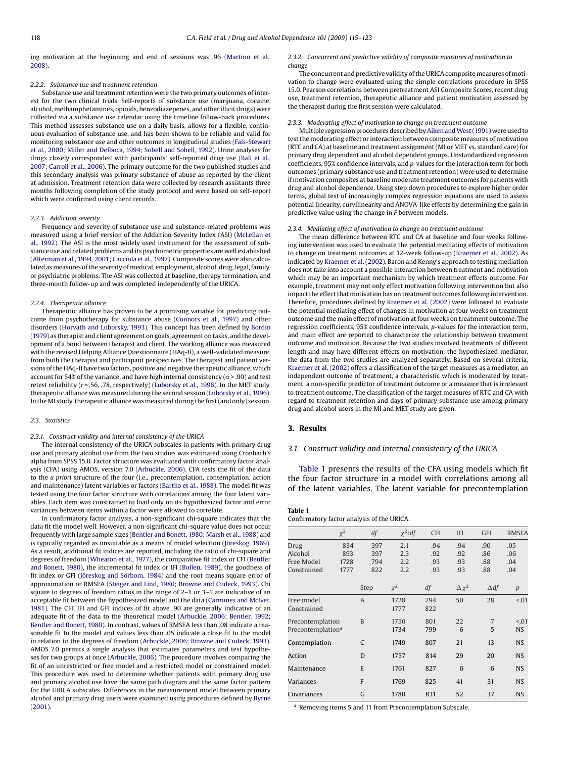<span id="page-3-0"></span>ing motivation at the beginning and end of sessions was .96 [\(Martino et al.,](#page-8-0) [2008\).](#page-8-0)

#### *2.2.2. Substance use and treatment retention*

Substance use and treatment retention were the two primary outcomes of interest for the two clinical trials. Self-reports of substance use (marijuana, cocaine, alcohol, methamphetamines, opioids, benzodiazepenes, and other illicit drugs) were collected via a substance use calendar using the timeline follow-back procedures. This method assesses substance use on a daily basis, allows for a flexible, continuous evaluation of substance use, and has been shown to be reliable and valid for monitoring substance use and other outcomes in longitudinal studies ([Fals-Stewart](#page-8-0) [et al., 2000; Miller and Delboca, 1994; Sobell and Sobell, 1992\).](#page-8-0) Urine analyses for drugs closely corresponded with participants' self-reported drug use [\(Ball et al.,](#page-7-0) [2007; Carroll et al., 2006\).](#page-7-0) The primary outcome for the two published studies and this secondary analysis was primary substance of abuse as reported by the client at admission. Treatment retention data were collected by research assistants three months following completion of the study protocol and were based on self-report which were confirmed using client records.

#### *2.2.3. Addiction severity*

Frequency and severity of substance use and substance-related problems was measured using a brief version of the Addiction Severity Index (ASI) ([McLellan et](#page-8-0) [al., 1992\).](#page-8-0) The ASI is the most widely used instrument for the assessment of substance use and related problems and its psychometric properties are well established [\(Alterman et al., 1994, 2001; Cacciola et al., 1997\).](#page-7-0) Composite scores were also calculated as measures of the severity of medical, employment, alcohol, drug, legal, family, or psychiatric problems. The ASI was collected at baseline, therapy termination, and three-month follow-up and was completed independently of the URICA.

#### *2.2.4. Therapeutic alliance*

Therapeutic alliance has proven to be a promising variable for predicting outcome from psychotherapy for substance abuse [\(Connors et al., 1997\)](#page-8-0) and other disorders ([Horvath and Luborsky, 1993\).](#page-8-0) This concept has been defined by [Bordin](#page-8-0) [\(1979\)](#page-8-0) as therapist and client agreement on goals, agreement on tasks, and the development of a bond between therapist and client. The working alliance was measured with the revised Helping Alliance Questionnaire (HAq-II), a well-validated measure, from both the therapist and participant perspectives. The therapist and patient versions of the HAq-II have two factors, positive and negative therapeutic alliance, which account for 54% of the variance, and have high internal consistency ( $\alpha$  > .90) and test retest reliability ( $r = 0.56$ , .78, respectively) ([Luborsky et al., 1996\).](#page-8-0) In the MET study, therapeutic alliance was measured during the second session ([Luborsky et al., 1996\).](#page-8-0) In the MI study, therapeutic alliance was measured during the first (and only) session.

#### *2.3. Statistics*

#### *2.3.1. Construct validity and internal consistency of the URICA*

The internal consistency of the URICA subscales in patients with primary drug use and primary alcohol use from the two studies was estimated using Cronbach's alpha from SPSS 15.0. Factor structure was evaluated with confirmatory factor analysis (CFA) using AMOS, version 7.0 ([Arbuckle, 2006\).](#page-7-0) CFA tests the fit of the data to the *a priori* structure of the four (i.e., precontemplation, contemplation, action and maintenance) latent variables or factors ([Bartko et al., 1988\).](#page-7-0) The model fit was tested using the four factor structure with correlations among the four latent variables. Each item was constrained to load only on its hypothesized factor and error variances between items within a factor were allowed to correlate.

In confirmatory factor analysis, a non-significant chi-square indicates that the data fit the model well. However, a non-significant chi-square value does not occur frequently with large sample sizes [\(Bentler and Bonett, 1980; Marsh et al., 1988\) a](#page-7-0)nd is typically regarded as unsuitable as a means of model selection [\(Jöreskog, 1969\).](#page-8-0) As a result, additional fit indices are reported, including the ratio of chi-square and degrees of freedom [\(Wheaton et al., 1977\),](#page-8-0) the comparative fit index or CFI [\(Bentler](#page-7-0) [and Bonett, 1980\),](#page-7-0) the incremental fit index or IFI ([Bollen, 1989\),](#page-8-0) the goodness of fit index or GFI [\(Jöreskog and Sörbom, 1984\) a](#page-8-0)nd the root means square error of approximation or RMSEA [\(Steiger and Lind, 1980; Browne and Cudeck, 1993\).](#page-8-0) Chi square to degrees of freedom ratios in the range of 2–1 or 3–1 are indicative of an acceptable fit between the hypothesized model and the data [\(Carmines and McIver,](#page-8-0) [1981\).](#page-8-0) The CFI, IFI and GFI indices of fit above .90 are generally indicative of an adequate fit of the data to the theoretical model ([Arbuckle, 2006; Bentler, 1992;](#page-7-0) [Bentler and Bonett, 1980\).](#page-7-0) In contrast, values of RMSEA less than .08 indicate a reasonable fit to the model and values less than .05 indicate a close fit to the model in relation to the degrees of freedom [\(Arbuckle, 2006; Browne and Cudeck, 1993\).](#page-7-0) AMOS 7.0 permits a single analysis that estimates parameters and test hypotheses for two groups at once [\(Arbuckle, 2006\).](#page-7-0) The procedure involves comparing the fit of an unrestricted or free model and a restricted model or constrained model. This procedure was used to determine whether patients with primary drug use and primary alcohol use have the same path diagram and the same factor pattern for the URICA subscales. Differences in the measurement model between primary alcohol and primary drug users were examined using procedures defined by [Byrne](#page-8-0) [\(2001\).](#page-8-0)

#### *2.3.2. Concurrent and predictive validity of composite measures of motivation to change*

The concurrent and predictive validity of the URICA compositemeasures ofmotivation to change were evaluated using the simple correlations procedure in SPSS 15.0. Pearson correlations between pretreatment ASI Composite Scores, recent drug use, treatment retention, therapeutic alliance and patient motivation assessed by the therapist during the first session were calculated.

#### *2.3.3. Moderating effect of motivation to change on treatment outcome*

Multiple regression procedures described by[Aiken andWest \(1991\)](#page-7-0) were used to test the moderating effect or interaction between composite measures of motivation (RTC and CA) at baseline and treatment assignment (MI or MET vs. standard care) for primary drug dependent and alcohol dependent groups. Unstandardized regression coefficients, 95% confidence intervals, and *p*-values for the interaction term for both outcomes (primary substance use and treatment retention) were used to determine if motivation composites at baseline moderate treatment outcomes for patients with drug and alcohol dependence. Using step down procedures to explore higher order terms, global test of increasingly complex regression equations are used to assess potential linearity, curvilinearity and ANOVA-like effects by determining the gain in predictive value using the change in *F* between models.

#### *2.3.4. Mediating effect of motivation to change on treatment outcome*

The mean difference between RTC and CA at baseline and four weeks following intervention was used to evaluate the potential mediating effects of motivation to change on treatment outcomes at 12-week follow-up ([Kraemer et al., 2002\).](#page-8-0) As indicated by [Kraemer et al. \(2002\), B](#page-8-0)aron and Kenny's approach to testing mediation does not take into account a possible interaction between treatment and motivation which may be an important mechanism by which treatment effects outcome. For example, treatment may not only effect motivation following intervention but also impact the effect that motivation has on treatment outcomes following intervention. Therefore, procedures defined by [Kraemer et al. \(2002\)](#page-8-0) were followed to evaluate the potential mediating effect of changes in motivation at four weeks on treatment outcome and the main effect of motivation at four weeks on treatment outcome. The regression coefficients, 95% confidence intervals, *p*-values for the interaction term, and main effect are reported to characterize the relationship between treatment outcome and motivation. Because the two studies involved treatments of different length and may have different effects on motivation, the hypothesized mediator, the data from the two studies are analyzed separately. Based on several criteria, [Kraemer et al. \(2002\)](#page-8-0) offers a classification of the target measures as a mediator, an independent outcome of treatment, a characteristic which is moderated by treatment, a non-specific predictor of treatment outcome or a measure that is irrelevant to treatment outcome. The classification of the target measures of RTC and CA with regard to treatment retention and days of primary substance use among primary drug and alcohol users in the MI and MET study are given.

#### **3. Results**

#### *3.1. Construct validity and internal consistency of the URICA*

Table 1 presents the results of the CFA using models which fit the four factor structure in a model with correlations among all of the latent variables. The latent variable for precontemplation

#### **Table 1**

#### Confirmatory factor analysis of the URICA.

|                               | $\chi^2$ | df   | $\chi^2$ :df | <b>CFI</b> | <b>IFI</b>      | <b>GFI</b>  | <b>RMSEA</b>     |
|-------------------------------|----------|------|--------------|------------|-----------------|-------------|------------------|
| Drug                          | 834      | 397  | 2.1          | .94        | .94             | .90         | .05              |
| Alcohol                       | 893      | 397  | 2.3          | .92        | .92             | .86         | .06              |
| <b>Free Model</b>             | 1728     | 794  | 2.2          | .93        | .93             | .88         | .04              |
| Constrained                   | 1777     | 822  | 2.2          | .93        | .93             | .88         | .04              |
|                               |          | Step | $\chi^2$     | df         | $\Delta \chi^2$ | $\Delta df$ | $\boldsymbol{p}$ |
| Free model                    |          | A    | 1728         | 794        | 50              | 28          | < 0.01           |
| Constrained                   |          |      | 1777         | 822        |                 |             |                  |
| Precontemplation              |          | B    | 1750         | 801        | 22              | 7           | < 0.01           |
| Precontemplation <sup>a</sup> |          |      | 1734         | 799        | 6               | 5           | <b>NS</b>        |
| Contemplation                 |          | C    | 1749         | 807        | 21              | 13          | <b>NS</b>        |
| Action                        |          | D    | 1757         | 814        | 29              | 20          | <b>NS</b>        |
| Maintenance                   |          | E    | 1761         | 827        | 6               | 6           | <b>NS</b>        |
| Variances                     |          | F    | 1769         | 825        | 41              | 31          | <b>NS</b>        |
| Covariances                   |          | G    | 1780         | 831        | 52              | 37          | <b>NS</b>        |

<sup>a</sup> Removing items 5 and 11 from Precontemplation Subscale.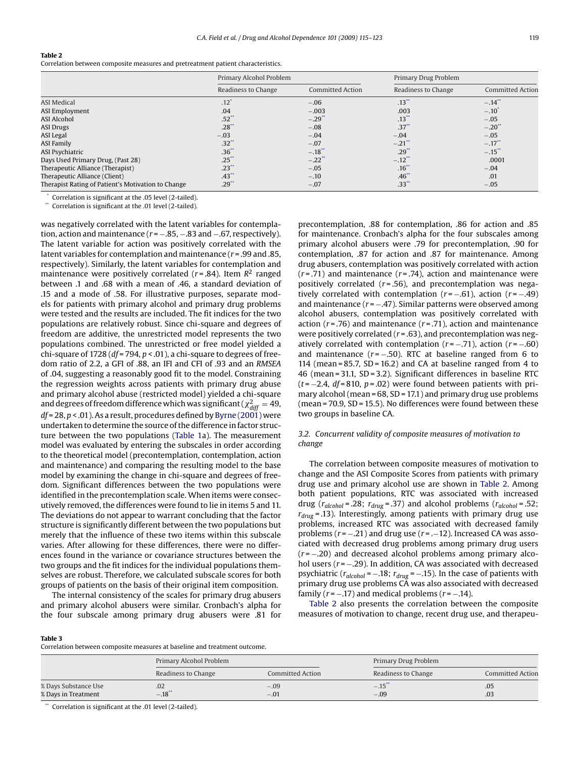#### <span id="page-4-0"></span>**Table 2**

Correlation between composite measures and pretreatment patient characteristics.

|                                                    | Primary Alcohol Problem |                         | Primary Drug Problem |                         |
|----------------------------------------------------|-------------------------|-------------------------|----------------------|-------------------------|
|                                                    | Readiness to Change     | <b>Committed Action</b> | Readiness to Change  | <b>Committed Action</b> |
| <b>ASI Medical</b>                                 | $.12$ <sup>*</sup>      | $-.06$                  | $.13***$             | $-.14$ <sup>**</sup>    |
| ASI Employment                                     | .04                     | $-.003$                 | .003                 | $-.10^*$                |
| ASI Alcohol                                        | $.52**$                 | $-.29$ <sup>**</sup>    | .13"                 | $-.05$                  |
| <b>ASI Drugs</b>                                   | $.28**$                 | $-.08$                  | $.37**$              | $-.20$ <sup>**</sup>    |
| ASI Legal                                          | $-.03$                  | $-.04$                  | $-.04$               | $-.05$                  |
| ASI Family                                         | $.32**$                 | $-.07$                  | $-.21"$              | $-.17$ <sup>**</sup>    |
| <b>ASI Psychiatric</b>                             | $.36***$                | $-.18$ <sup>*</sup>     | .29                  | $-.15$ **               |
| Days Used Primary Drug, (Past 28)                  | $.25***$                | $-.22$ <sup>*</sup>     | $-.12"$              | .0001                   |
| Therapeutic Alliance (Therapist)                   | $.23***$                | $-.05$                  | .16                  | $-.04$                  |
| Therapeutic Alliance (Client)                      | .43"                    | $-.10$                  | $.46^{**}$           | .01                     |
| Therapist Rating of Patient's Motivation to Change | $.29***$                | $-.07$                  | $.33***$             | $-.05$                  |

\* Correlation is significant at the .05 level (2-tailed).<br>\*\* Correlation is similar at the .01 level (2 tailed).

Correlation is significant at the .01 level (2-tailed).

was negatively correlated with the latent variables for contemplation, action and maintenance (*r* = −.85, −.83 and −.67, respectively). The latent variable for action was positively correlated with the latent variables for contemplation and maintenance (*r* = .99 and .85, respectively). Similarly, the latent variables for contemplation and maintenance were positively correlated ( $r = .84$ ). Item  $R<sup>2</sup>$  ranged between .1 and .68 with a mean of .46, a standard deviation of .15 and a mode of .58. For illustrative purposes, separate models for patients with primary alcohol and primary drug problems were tested and the results are included. The fit indices for the two populations are relatively robust. Since chi-square and degrees of freedom are additive, the unrestricted model represents the two populations combined. The unrestricted or free model yielded a chi-square of 1728 (*df* = 794, *p* < .01), a chi-square to degrees of freedom ratio of 2.2, a GFI of .88, an IFI and CFI of .93 and an *RMSEA* of .04, suggesting a reasonably good fit to the model. Constraining the regression weights across patients with primary drug abuse and primary alcohol abuse (restricted model) yielded a chi-square and degrees of freedom difference which was significant (  $\chi^2_{\rm diff} =$  49, *df* = 28, *p* < .01). As a result, procedures defined by [Byrne \(2001\)](#page-8-0) were undertaken to determine the source of the difference in factor structure between the two populations [\(Table 1a](#page-3-0)). The measurement model was evaluated by entering the subscales in order according to the theoretical model (precontemplation, contemplation, action and maintenance) and comparing the resulting model to the base model by examining the change in chi-square and degrees of freedom. Significant differences between the two populations were identified in the precontemplation scale. When items were consecutively removed, the differences were found to lie in items 5 and 11. The deviations do not appear to warrant concluding that the factor structure is significantly different between the two populations but merely that the influence of these two items within this subscale varies. After allowing for these differences, there were no differences found in the variance or covariance structures between the two groups and the fit indices for the individual populations themselves are robust. Therefore, we calculated subscale scores for both groups of patients on the basis of their original item composition.

The internal consistency of the scales for primary drug abusers and primary alcohol abusers were similar. Cronbach's alpha for the four subscale among primary drug abusers were .81 for

precontemplation, .88 for contemplation, .86 for action and .85 for maintenance. Cronbach's alpha for the four subscales among primary alcohol abusers were .79 for precontemplation, .90 for contemplation, .87 for action and .87 for maintenance. Among drug abusers, contemplation was positively correlated with action  $(r=.71)$  and maintenance  $(r=.74)$ , action and maintenance were positively correlated  $(r=.56)$ , and precontemplation was negatively correlated with contemplation (*r* = −.61), action (*r* = −.49) and maintenance (*r* = −.47). Similar patterns were observed among alcohol abusers, contemplation was positively correlated with action (*r* = .76) and maintenance (*r* = .71), action and maintenance were positively correlated (*r* = .63), and precontemplation was negatively correlated with contemplation (*r* = −.71), action (*r* = −.60) and maintenance (*r* = −.50). RTC at baseline ranged from 6 to 114 (mean =  $85.7$ , SD =  $16.2$ ) and CA at baseline ranged from 4 to 46 (mean = 31.1, SD = 3.2). Significant differences in baseline RTC (*t* = −2.4, *df* = 810, *p* = .02) were found between patients with primary alcohol (mean =  $68$ , SD = 17.1) and primary drug use problems (mean = 70.9, SD = 15.5). No differences were found between these two groups in baseline CA.

## *3.2. Concurrent validity of composite measures of motivation to change*

The correlation between composite measures of motivation to change and the ASI Composite Scores from patients with primary drug use and primary alcohol use are shown in Table 2. Among both patient populations, RTC was associated with increased drug (*ralcohol* = .28; *rdrug* = .37) and alcohol problems (*ralcohol* = .52;  $r_{drug}$  = .13). Interestingly, among patients with primary drug use problems, increased RTC was associated with decreased family problems (*r* = −.21) and drug use (*r* = .−12). Increased CA was associated with decreased drug problems among primary drug users (*r* = −.20) and decreased alcohol problems among primary alcohol users (*r* = −.29). In addition, CA was associated with decreased psychiatric (*ralcohol* = −.18; *rdrug* = −.15). In the case of patients with primary drug use problems CA was also associated with decreased family  $(r = -.17)$  and medical problems  $(r = -.14)$ .

Table 2 also presents the correlation between the composite measures of motivation to change, recent drug use, and therapeu-

#### **Table 3**

Correlation between composite measures at baseline and treatment outcome.

|                                             | Primary Alcohol Problem     |                         |                     | Primary Drug Problem    |  |
|---------------------------------------------|-----------------------------|-------------------------|---------------------|-------------------------|--|
|                                             | Readiness to Change         | <b>Committed Action</b> | Readiness to Change | <b>Committed Action</b> |  |
| % Days Substance Use<br>% Days in Treatment | .02<br>$-.18$ <sup>**</sup> | $-.09$<br>$-.01$        | $-.15$<br>$-.09$    | .05<br>.03              |  |

Correlation is significant at the .01 level (2-tailed).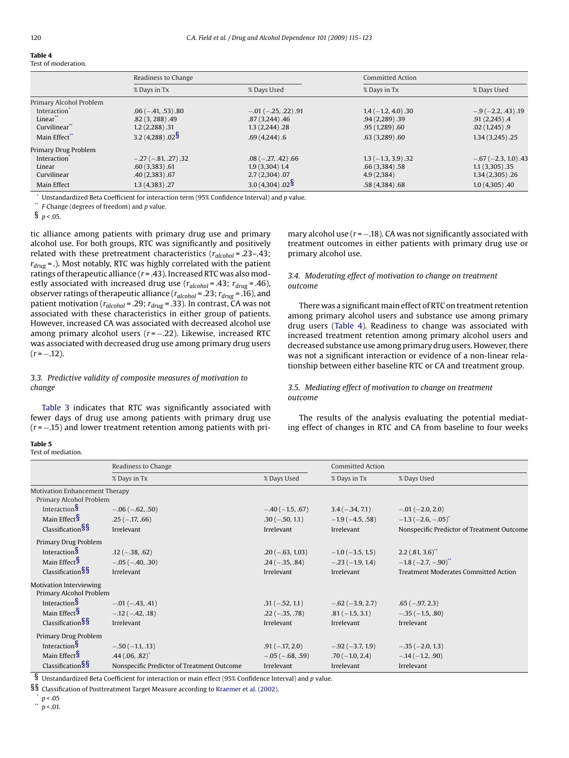## <span id="page-5-0"></span>**Table 4**

| Test of moderation. |
|---------------------|
|---------------------|

|                          | Readiness to Change         |                             | <b>Committed Action</b> |                       |  |
|--------------------------|-----------------------------|-----------------------------|-------------------------|-----------------------|--|
|                          | % Days in Tx                | % Days Used                 | % Days in Tx            | % Days Used           |  |
| Primary Alcohol Problem  |                             |                             |                         |                       |  |
| Interaction <sup>®</sup> | $.06(-.41, .53)$ .80        | $-.01 (-.25, .22) .91$      | $1.4(-1.2, 4.0)$ .30    | $-.9(-2.2, .43).19$   |  |
| Linear**                 | $.82(3, 288)$ .49           | $.87(3,244)$ .46            | .94(2,289).39           | .91(2,245).4          |  |
| Curvilinear**            | 1.2(2,288).31               | 1.3(2,244).28               | .95(1,289).60           | .02(1,245).9          |  |
| Main Effect**            | $3.2(4,288) .02\frac{5}{9}$ | $.69(4,244)$ .6             | .63(3,289).60           | 1.34 (3,245).25       |  |
| Primary Drug Problem     |                             |                             |                         |                       |  |
| Interaction <sup>®</sup> | $-.27(-.81, .27).32$        | $.08(-.27, .42).66$         | $1.3(-1.3, 3.9)$ .32    | $-.67(-2.3, 1.0)$ .43 |  |
| Linear                   | $.60(3,383)$ .61            | 1.9(3,304)1.4               | $.66(3,384)$ .58        | $1.1(3,305)$ .35      |  |
| Curvilinear              | $.40(2,383)$ .67            | $2.7(2,304)$ .07            | 4.9(2,384)              | 1.34 (2,305).26       |  |
| Main Effect              | $1.3(4,383)$ .27            | $3.0(4,304) .02\frac{5}{9}$ | .58 (4,384).68          | $1.0(4,305)$ .40      |  |

\* Unstandardized Beta Coefficient for interaction term (95% Confidence Interval) and *p* value.

\*\* *F* Change (degrees of freedom) and *p* value.

 $\frac{6}{9}$  *p* < .05.

tic alliance among patients with primary drug use and primary alcohol use. For both groups, RTC was significantly and positively related with these pretreatment characteristics (*ralcohol* = .23–.43; *rdrug* = .). Most notably, RTC was highly correlated with the patient ratings of therapeutic alliance (*r* = .43). Increased RTC was also modestly associated with increased drug use (*ralcohol* = .43; *rdrug* = .46), observer ratings of therapeutic alliance (*ralcohol* = .23; *rdrug* = .16), and patient motivation ( $r_{alcohol}$  = .29;  $r_{drug}$  = .33). In contrast, CA was not associated with these characteristics in either group of patients. However, increased CA was associated with decreased alcohol use among primary alcohol users (*r* = −.22). Likewise, increased RTC was associated with decreased drug use among primary drug users  $(r = -.12)$ .

## *3.3. Predictive validity of composite measures of motivation to change*

[Table 3](#page-4-0) indicates that RTC was significantly associated with fewer days of drug use among patients with primary drug use (*r* = −.15) and lower treatment retention among patients with primary alcohol use (*r* = −.18). CA was not significantly associated with treatment outcomes in either patients with primary drug use or primary alcohol use.

## *3.4. Moderating effect of motivation to change on treatment outcome*

There was a significant main effect of RTC on treatment retention among primary alcohol users and substance use among primary drug users (Table 4). Readiness to change was associated with increased treatment retention among primary alcohol users and decreased substance use among primary drug users. However, there was not a significant interaction or evidence of a non-linear relationship between either baseline RTC or CA and treatment group.

## *3.5. Mediating effect of motivation to change on treatment outcome*

The results of the analysis evaluating the potential mediating effect of changes in RTC and CA from baseline to four weeks

#### **Table 5** Test of mediation.

|                                     | Readiness to Change                        |                   | <b>Committed Action</b> |                                             |
|-------------------------------------|--------------------------------------------|-------------------|-------------------------|---------------------------------------------|
|                                     | % Days in Tx                               | % Days Used       | % Days in Tx            | % Days Used                                 |
| Motivation Enhancement Therapy      |                                            |                   |                         |                                             |
| Primary Alcohol Problem             |                                            |                   |                         |                                             |
| Interaction $\overline{\mathbf{S}}$ | $-.06(-.62, .50)$                          | $-.40(-1.5,.67)$  | $3.4(-.34, 7.1)$        | $-.01 (-2.0, 2.0)$                          |
| Main Effect <sup>§</sup>            | $.25(-.17, .66)$                           | $.30(-.50, 1.1)$  | $-1.9(-4.5, .58)$       | $-1.3(-2.6, -.05)^{*}$                      |
| $Classification$ <sup>99</sup>      | Irrelevant                                 | Irrelevant        | Irrelevant              | Nonspecific Predictor of Treatment Outcome  |
| Primary Drug Problem                |                                            |                   |                         |                                             |
| Interaction <sup>§</sup>            | $.12(-.38, .62)$                           | $.20(-.63, 1.03)$ | $-1.0$ ( $-3.5$ , 1.5)  | $2.2$ (.81, 3.6) <sup>**</sup>              |
| Main Effect <sup>§</sup>            | $-.05(-.40, .30)$                          | $.24(-.35, .84)$  | $-.23(-1.9, 1.4)$       | $-1.8(-2.7, -.90)^{**}$                     |
| $Classification$ <sup>99</sup>      | Irrelevant                                 | Irrelevant        | Irrelevant              | <b>Treatment Moderates Committed Action</b> |
| Motivation Interviewing             |                                            |                   |                         |                                             |
| Primary Alcohol Problem             |                                            |                   |                         |                                             |
| Interaction $\overline{\mathbf{S}}$ | $-.01 (-.43, .41)$                         | $.31(-.52, 1.1)$  | $-.62(-3.9, 2.7)$       | $.65(-.97, 2.3)$                            |
| Main Effect <sup>§</sup>            | $-.12(-.42, .18)$                          | $.22(-.35, .78)$  | $.81(-1.5, 3.1)$        | $-.35(-1.5,.80)$                            |
| $Classification$ <sup>99</sup>      | Irrelevant                                 | Irrelevant        | Irrelevant              | Irrelevant                                  |
| Primary Drug Problem                |                                            |                   |                         |                                             |
| Interaction <sup>§</sup>            | $-.50(-1.1, .13)$                          | $.91 (-.17, 2.0)$ | $-.92(-3.7, 1.9)$       | $-.35(-2.0, 1.3)$                           |
| Main Effect <sup>9</sup>            | $.44(.06, .82)^{*}$                        | $-.05(-.68, .59)$ | $.70(-1.0, 2.4)$        | $-.14(-1.2, .90)$                           |
| Classification <sup>§</sup>         | Nonspecific Predictor of Treatment Outcome | Irrelevant        | Irrelevant              | Irrelevant                                  |

§ Unstandardized Beta Coefficient for interaction or main effect (95% Confidence Interval) and *<sup>p</sup>* value.

§§ Classification of Posttreatment Target Measure according to [Kraemer et al. \(2002\).](#page-8-0)

 $p < .05$  $p < .01$ .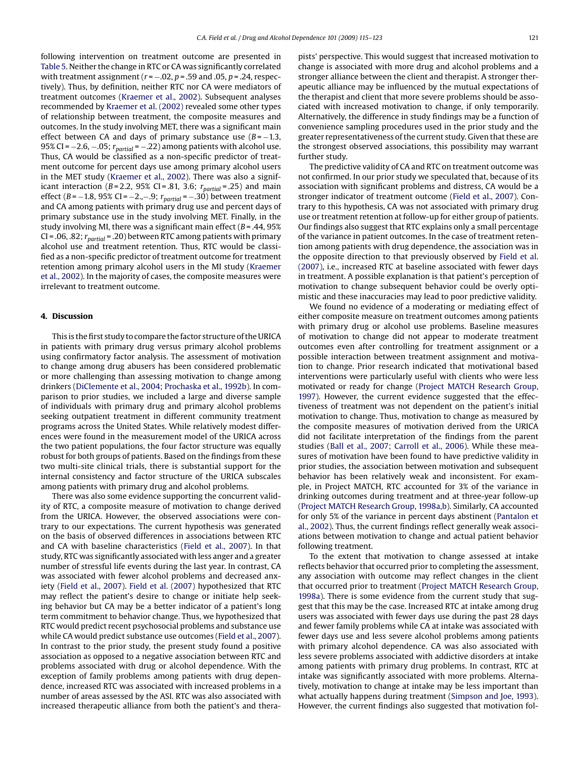following intervention on treatment outcome are presented in [Table 5. N](#page-5-0)either the change in RTC or CA was significantly correlated with treatment assignment ( $r$  = −.02,  $p$  = .59 and .05,  $p$  = .24, respectively). Thus, by definition, neither RTC nor CA were mediators of treatment outcomes [\(Kraemer et al., 2002\).](#page-8-0) Subsequent analyses recommended by [Kraemer et al. \(2002\)](#page-8-0) revealed some other types of relationship between treatment, the composite measures and outcomes. In the study involving MET, there was a significant main effect between CA and days of primary substance use (*B* = −1.3, 95% CI = −2.6, −.05;  $r_{partial}$  = −.22) among patients with alcohol use. Thus, CA would be classified as a non-specific predictor of treatment outcome for percent days use among primary alcohol users in the MET study ([Kraemer et al., 2002\).](#page-8-0) There was also a significant interaction (*B* = 2.2, 95% CI = .81, 3.6; *rpartial* = .25) and main effect (*B* = −1.8, 95% CI = −2.,−.9; *rpartial* = −.30) between treatment and CA among patients with primary drug use and percent days of primary substance use in the study involving MET. Finally, in the study involving MI, there was a significant main effect (*B* = .44, 95% CI = .06, .82; *rpartial* = .20) between RTC among patients with primary alcohol use and treatment retention. Thus, RTC would be classified as a non-specific predictor of treatment outcome for treatment retention among primary alcohol users in the MI study ([Kraemer](#page-8-0) [et al., 2002\).](#page-8-0) In the majority of cases, the composite measures were irrelevant to treatment outcome.

## **4. Discussion**

This is the first study to compare the factor structure of the URICA in patients with primary drug versus primary alcohol problems using confirmatory factor analysis. The assessment of motivation to change among drug abusers has been considered problematic or more challenging than assessing motivation to change among drinkers ([DiClemente et al., 2004; Prochaska et al., 1992b\).](#page-8-0) In comparison to prior studies, we included a large and diverse sample of individuals with primary drug and primary alcohol problems seeking outpatient treatment in different community treatment programs across the United States. While relatively modest differences were found in the measurement model of the URICA across the two patient populations, the four factor structure was equally robust for both groups of patients. Based on the findings from these two multi-site clinical trials, there is substantial support for the internal consistency and factor structure of the URICA subscales among patients with primary drug and alcohol problems.

There was also some evidence supporting the concurrent validity of RTC, a composite measure of motivation to change derived from the URICA. However, the observed associations were contrary to our expectations. The current hypothesis was generated on the basis of observed differences in associations between RTC and CA with baseline characteristics [\(Field et al., 2007\).](#page-8-0) In that study, RTC was significantly associated with less anger and a greater number of stressful life events during the last year. In contrast, CA was associated with fewer alcohol problems and decreased anxiety [\(Field et al., 2007\).](#page-8-0) [Field et al. \(2007\)](#page-8-0) hypothesized that RTC may reflect the patient's desire to change or initiate help seeking behavior but CA may be a better indicator of a patient's long term commitment to behavior change. Thus, we hypothesized that RTC would predict recent psychosocial problems and substance use while CA would predict substance use outcomes ([Field et al., 2007\).](#page-8-0) In contrast to the prior study, the present study found a positive association as opposed to a negative association between RTC and problems associated with drug or alcohol dependence. With the exception of family problems among patients with drug dependence, increased RTC was associated with increased problems in a number of areas assessed by the ASI. RTC was also associated with increased therapeutic alliance from both the patient's and therapists' perspective. This would suggest that increased motivation to change is associated with more drug and alcohol problems and a stronger alliance between the client and therapist. A stronger therapeutic alliance may be influenced by the mutual expectations of the therapist and client that more severe problems should be associated with increased motivation to change, if only temporarily. Alternatively, the difference in study findings may be a function of convenience sampling procedures used in the prior study and the greater representativeness of the current study. Given that these are the strongest observed associations, this possibility may warrant further study.

The predictive validity of CA and RTC on treatment outcome was not confirmed. In our prior study we speculated that, because of its association with significant problems and distress, CA would be a stronger indicator of treatment outcome [\(Field et al., 2007\).](#page-8-0) Contrary to this hypothesis, CA was not associated with primary drug use or treatment retention at follow-up for either group of patients. Our findings also suggest that RTC explains only a small percentage of the variance in patient outcomes. In the case of treatment retention among patients with drug dependence, the association was in the opposite direction to that previously observed by [Field et al.](#page-8-0) [\(2007\), i](#page-8-0).e., increased RTC at baseline associated with fewer days in treatment. A possible explanation is that patient's perception of motivation to change subsequent behavior could be overly optimistic and these inaccuracies may lead to poor predictive validity.

We found no evidence of a moderating or mediating effect of either composite measure on treatment outcomes among patients with primary drug or alcohol use problems. Baseline measures of motivation to change did not appear to moderate treatment outcomes even after controlling for treatment assignment or a possible interaction between treatment assignment and motivation to change. Prior research indicated that motivational based interventions were particularly useful with clients who were less motivated or ready for change ([Project MATCH Research Group,](#page-8-0) [1997\).](#page-8-0) However, the current evidence suggested that the effectiveness of treatment was not dependent on the patient's initial motivation to change. Thus, motivation to change as measured by the composite measures of motivation derived from the URICA did not facilitate interpretation of the findings from the parent studies ([Ball et al., 2007; Carroll et al., 2006\).](#page-7-0) While these measures of motivation have been found to have predictive validity in prior studies, the association between motivation and subsequent behavior has been relatively weak and inconsistent. For example, in Project MATCH, RTC accounted for 3% of the variance in drinking outcomes during treatment and at three-year follow-up [\(Project MATCH Research Group, 1998a,b\).](#page-8-0) Similarly, CA accounted for only 5% of the variance in percent days abstinent [\(Pantalon et](#page-8-0) [al., 2002\).](#page-8-0) Thus, the current findings reflect generally weak associations between motivation to change and actual patient behavior following treatment.

To the extent that motivation to change assessed at intake reflects behavior that occurred prior to completing the assessment, any association with outcome may reflect changes in the client that occurred prior to treatment ([Project MATCH Research Group,](#page-8-0) [1998a\).](#page-8-0) There is some evidence from the current study that suggest that this may be the case. Increased RTC at intake among drug users was associated with fewer days use during the past 28 days and fewer family problems while CA at intake was associated with fewer days use and less severe alcohol problems among patients with primary alcohol dependence. CA was also associated with less severe problems associated with addictive disorders at intake among patients with primary drug problems. In contrast, RTC at intake was significantly associated with more problems. Alternatively, motivation to change at intake may be less important than what actually happens during treatment [\(Simpson and Joe, 1993\).](#page-8-0) However, the current findings also suggested that motivation fol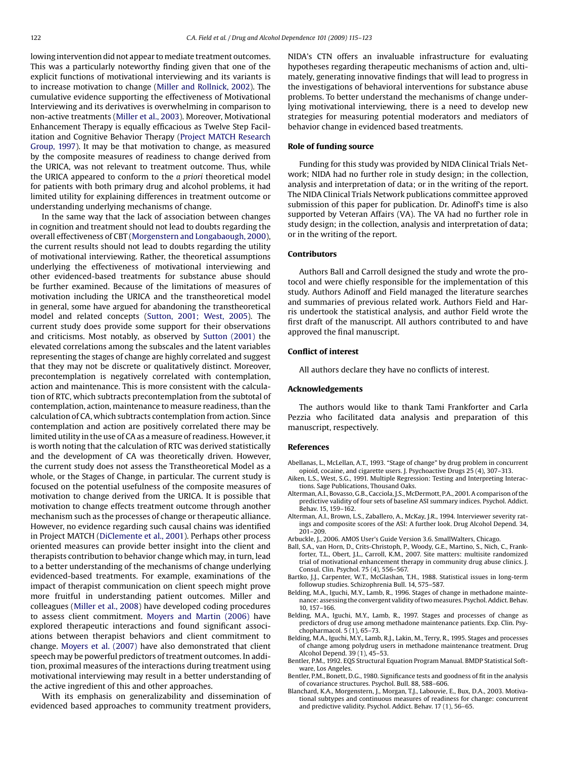<span id="page-7-0"></span>lowing intervention did not appear to mediate treatment outcomes. This was a particularly noteworthy finding given that one of the explicit functions of motivational interviewing and its variants is to increase motivation to change [\(Miller and Rollnick, 2002\).](#page-8-0) The cumulative evidence supporting the effectiveness of Motivational Interviewing and its derivatives is overwhelming in comparison to non-active treatments [\(Miller et al., 2003\).](#page-8-0) Moreover, Motivational Enhancement Therapy is equally efficacious as Twelve Step Facilitation and Cognitive Behavior Therapy ([Project MATCH Research](#page-8-0) [Group, 1997\).](#page-8-0) It may be that motivation to change, as measured by the composite measures of readiness to change derived from the URICA, was not relevant to treatment outcome. Thus, while the URICA appeared to conform to the *a priori* theoretical model for patients with both primary drug and alcohol problems, it had limited utility for explaining differences in treatment outcome or understanding underlying mechanisms of change.

In the same way that the lack of association between changes in cognition and treatment should not lead to doubts regarding the overall effectiveness of CBT [\(Morgenstern and Longabaough, 2000\),](#page-8-0) the current results should not lead to doubts regarding the utility of motivational interviewing. Rather, the theoretical assumptions underlying the effectiveness of motivational interviewing and other evidenced-based treatments for substance abuse should be further examined. Because of the limitations of measures of motivation including the URICA and the transtheoretical model in general, some have argued for abandoning the transtheoretical model and related concepts [\(Sutton, 2001; West, 2005\).](#page-8-0) The current study does provide some support for their observations and criticisms. Most notably, as observed by [Sutton \(2001\)](#page-8-0) the elevated correlations among the subscales and the latent variables representing the stages of change are highly correlated and suggest that they may not be discrete or qualitatively distinct. Moreover, precontemplation is negatively correlated with contemplation, action and maintenance. This is more consistent with the calculation of RTC, which subtracts precontemplation from the subtotal of contemplation, action, maintenance to measure readiness, than the calculation of CA, which subtracts contemplation from action. Since contemplation and action are positively correlated there may be limited utility in the use of CA as a measure of readiness. However, it is worth noting that the calculation of RTC was derived statistically and the development of CA was theoretically driven. However, the current study does not assess the Transtheoretical Model as a whole, or the Stages of Change, in particular. The current study is focused on the potential usefulness of the composite measures of motivation to change derived from the URICA. It is possible that motivation to change effects treatment outcome through another mechanism such as the processes of change or therapeutic alliance. However, no evidence regarding such causal chains was identified in Project MATCH [\(DiClemente et al., 2001\).](#page-8-0) Perhaps other process oriented measures can provide better insight into the client and therapists contribution to behavior change which may, in turn, lead to a better understanding of the mechanisms of change underlying evidenced-based treatments. For example, examinations of the impact of therapist communication on client speech might prove more fruitful in understanding patient outcomes. Miller and colleagues [\(Miller et al., 2008\)](#page-8-0) have developed coding procedures to assess client commitment. [Moyers and Martin \(2006\)](#page-8-0) have explored therapeutic interactions and found significant associations between therapist behaviors and client commitment to change. [Moyers et al. \(2007\)](#page-8-0) have also demonstrated that client speech may be powerful predictors of treatment outcomes. In addition, proximal measures of the interactions during treatment using motivational interviewing may result in a better understanding of the active ingredient of this and other approaches.

With its emphasis on generalizability and dissemination of evidenced based approaches to community treatment providers, NIDA's CTN offers an invaluable infrastructure for evaluating hypotheses regarding therapeutic mechanisms of action and, ultimately, generating innovative findings that will lead to progress in the investigations of behavioral interventions for substance abuse problems. To better understand the mechanisms of change underlying motivational interviewing, there is a need to develop new strategies for measuring potential moderators and mediators of behavior change in evidenced based treatments.

### **Role of funding source**

Funding for this study was provided by NIDA Clinical Trials Network; NIDA had no further role in study design; in the collection, analysis and interpretation of data; or in the writing of the report. The NIDA Clinical Trials Network publications committee approved submission of this paper for publication. Dr. Adinoff's time is also supported by Veteran Affairs (VA). The VA had no further role in study design; in the collection, analysis and interpretation of data; or in the writing of the report.

#### **Contributors**

Authors Ball and Carroll designed the study and wrote the protocol and were chiefly responsible for the implementation of this study. Authors Adinoff and Field managed the literature searches and summaries of previous related work. Authors Field and Harris undertook the statistical analysis, and author Field wrote the first draft of the manuscript. All authors contributed to and have approved the final manuscript.

### **Conflict of interest**

All authors declare they have no conflicts of interest.

#### **Acknowledgements**

The authors would like to thank Tami Frankforter and Carla Pezzia who facilitated data analysis and preparation of this manuscript, respectively.

#### **References**

- Abellanas, L., McLellan, A.T., 1993. "Stage of change" by drug problem in concurrent opioid, cocaine, and cigarette users. J. Psychoactive Drugs 25 (4), 307–313.
- Aiken, L.S., West, S.G., 1991. Multiple Regression: Testing and Interpreting Interactions. Sage Publications, Thousand Oaks.
- Alterman, A.I., Bovasso, G.B., Cacciola, J.S., McDermott, P.A., 2001. A comparison of the predictive validity of four sets of baseline ASI summary indices. Psychol. Addict. Behav. 15, 159–162.
- Alterman, A.I., Brown, L.S., Zaballero, A., McKay, J.R., 1994. Interviewer severity ratings and composite scores of the ASI: A further look. Drug Alcohol Depend. 34, 201–209.
- Arbuckle, J., 2006. AMOS User's Guide Version 3.6. SmallWalters, Chicago.
- Ball, S.A., van Horn, D., Crits-Christoph, P., Woody, G.E., Martino, S., Nich, C., Frankforter, T.L., Obert, J.L., Carroll, K.M., 2007. Site matters: multisite randomized trial of motivational enhancement therapy in community drug abuse clinics. J. Consul. Clin. Psychol. 75 (4), 556–567.
- Bartko, J.J., Carpenter, W.T., McGlashan, T.H., 1988. Statistical issues in long-term followup studies. Schizophrenia Bull. 14, 575–587.
- Belding, M.A., Iguchi, M.Y., Lamb, R., 1996. Stages of change in methadone maintenance: assessing the convergent validity of twomeasures. Psychol. Addict. Behav. 10, 157–166.
- Belding, M.A., Iguchi, M.Y., Lamb, R., 1997. Stages and processes of change as predictors of drug use among methadone maintenance patients. Exp. Clin. Psychopharmacol. 5 (1), 65–73.
- Belding, M.A., Iguchi, M.Y., Lamb, R.J., Lakin, M., Terry, R., 1995. Stages and processes of change among polydrug users in methadone maintenance treatment. Drug Alcohol Depend. 39 (1), 45–53.
- Bentler, P.M., 1992. EQS Structural Equation Program Manual. BMDP Statistical Software, Los Angeles.
- Bentler, P.M., Bonett, D.G., 1980. Significance tests and goodness of fit in the analysis of covariance structures. Psychol. Bull. 88, 588–606.
- Blanchard, K.A., Morgenstern, J., Morgan, T.J., Labouvie, E., Bux, D.A., 2003. Motivational subtypes and continuous measures of readiness for change: concurrent and predictive validity. Psychol. Addict. Behav. 17 (1), 56–65.